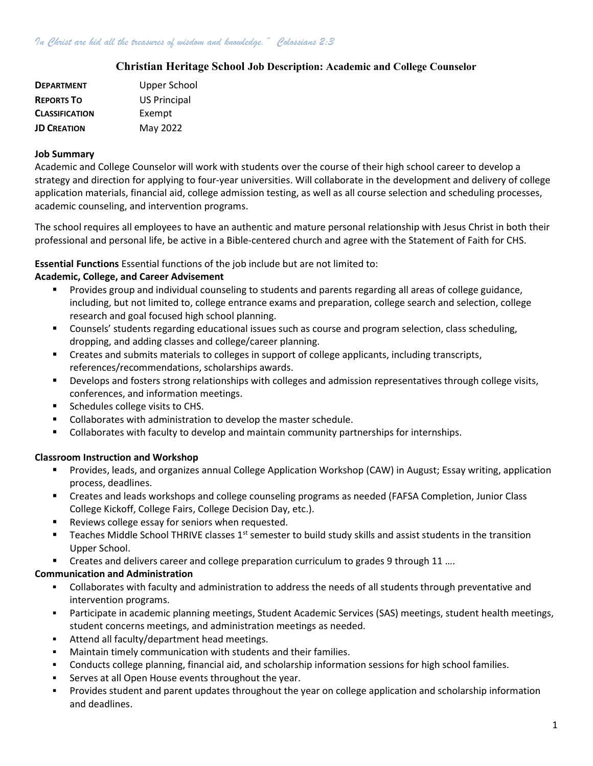## Christian Heritage School Job Description: Academic and College Counselor

| <b>DEPARTMENT</b>     | Upper School        |
|-----------------------|---------------------|
| <b>REPORTS TO</b>     | <b>US Principal</b> |
| <b>CLASSIFICATION</b> | Exempt              |
| <b>JD CREATION</b>    | May 2022            |

#### Job Summary

Academic and College Counselor will work with students over the course of their high school career to develop a strategy and direction for applying to four-year universities. Will collaborate in the development and delivery of college application materials, financial aid, college admission testing, as well as all course selection and scheduling processes, academic counseling, and intervention programs.

The school requires all employees to have an authentic and mature personal relationship with Jesus Christ in both their professional and personal life, be active in a Bible-centered church and agree with the Statement of Faith for CHS.

## Essential Functions Essential functions of the job include but are not limited to:

## Academic, College, and Career Advisement

- **Provides group and individual counseling to students and parents regarding all areas of college guidance,** including, but not limited to, college entrance exams and preparation, college search and selection, college research and goal focused high school planning.
- Counsels' students regarding educational issues such as course and program selection, class scheduling, dropping, and adding classes and college/career planning.
- Creates and submits materials to colleges in support of college applicants, including transcripts, references/recommendations, scholarships awards.
- Develops and fosters strong relationships with colleges and admission representatives through college visits, conferences, and information meetings.
- Schedules college visits to CHS.
- Collaborates with administration to develop the master schedule.
- Collaborates with faculty to develop and maintain community partnerships for internships.

## Classroom Instruction and Workshop

- Provides, leads, and organizes annual College Application Workshop (CAW) in August; Essay writing, application process, deadlines.
- Creates and leads workshops and college counseling programs as needed (FAFSA Completion, Junior Class College Kickoff, College Fairs, College Decision Day, etc.).
- Reviews college essay for seniors when requested.
- **Teaches Middle School THRIVE classes 1st semester to build study skills and assist students in the transition** Upper School.
- Creates and delivers career and college preparation curriculum to grades 9 through 11 ….

## Communication and Administration

- Collaborates with faculty and administration to address the needs of all students through preventative and intervention programs.
- Participate in academic planning meetings, Student Academic Services (SAS) meetings, student health meetings, student concerns meetings, and administration meetings as needed.
- **EXECUTE:** Attend all faculty/department head meetings.
- Maintain timely communication with students and their families.
- Conducts college planning, financial aid, and scholarship information sessions for high school families.
- Serves at all Open House events throughout the year.
- Provides student and parent updates throughout the year on college application and scholarship information and deadlines.